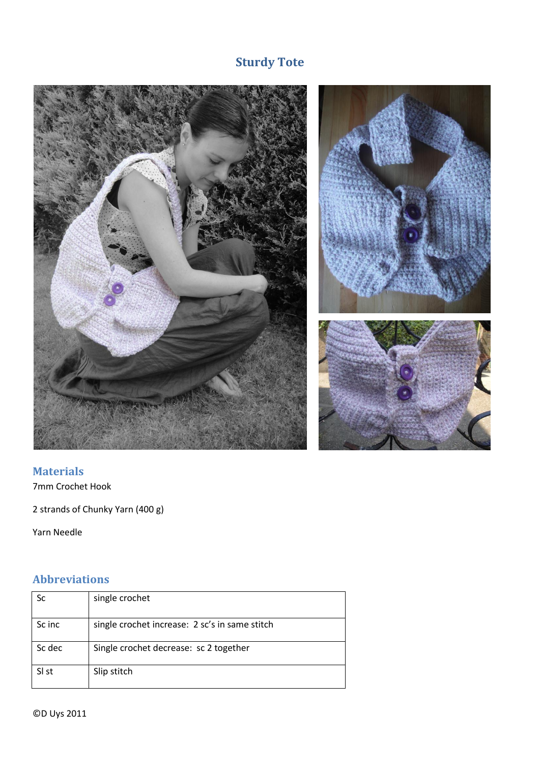# **Sturdy Tote**



# **Materials**

7mm Crochet Hook

2 strands of Chunky Yarn (400 g)

Yarn Needle

## **Abbreviations**

| Sc     | single crochet                                 |
|--------|------------------------------------------------|
|        |                                                |
|        |                                                |
| Sc inc | single crochet increase: 2 sc's in same stitch |
|        |                                                |
|        |                                                |
| Sc dec | Single crochet decrease: sc 2 together         |
|        |                                                |
|        |                                                |
| SI st  | Slip stitch                                    |
|        |                                                |
|        |                                                |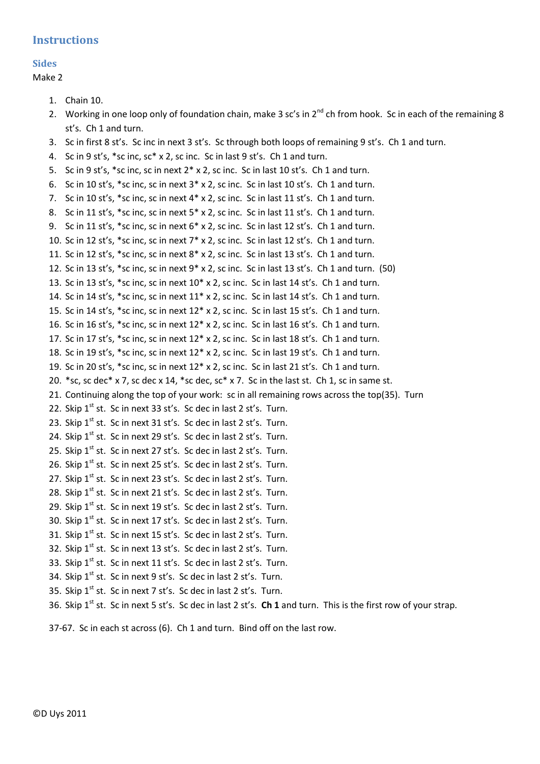### **Instructions**

## **Sides**

Make 2

```
1. Chain 10.
```
- 2. Working in one loop only of foundation chain, make 3 sc's in  $2^{nd}$  ch from hook. Sc in each of the remaining 8 st's. Ch 1 and turn.
- 3. Sc in first 8 st's. Sc inc in next 3 st's. Sc through both loops of remaining 9 st's. Ch 1 and turn.
- 4. Sc in 9 st's, \*sc inc, sc\* x 2, sc inc. Sc in last 9 st's. Ch 1 and turn.
- 5. Sc in 9 st's, \*sc inc, sc in next 2\* x 2, sc inc. Sc in last 10 st's. Ch 1 and turn.
- 6. Sc in 10 st's, \*sc inc, sc in next 3\* x 2, sc inc. Sc in last 10 st's. Ch 1 and turn.
- 7. Sc in 10 st's, \*sc inc, sc in next 4\* x 2, sc inc. Sc in last 11 st's. Ch 1 and turn.
- 8. Sc in 11 st's, \*sc inc, sc in next 5\* x 2, sc inc. Sc in last 11 st's. Ch 1 and turn.
- 9. Sc in 11 st's, \*sc inc, sc in next 6\* x 2, sc inc. Sc in last 12 st's. Ch 1 and turn.
- 10. Sc in 12 st's, \*sc inc, sc in next 7\* x 2, sc inc. Sc in last 12 st's. Ch 1 and turn.
- 11. Sc in 12 st's, \*sc inc, sc in next 8\* x 2, sc inc. Sc in last 13 st's. Ch 1 and turn.
- 12. Sc in 13 st's, \*sc inc, sc in next  $9$ \* x 2, sc inc. Sc in last 13 st's. Ch 1 and turn. (50)
- 13. Sc in 13 st's, \*sc inc, sc in next 10\* x 2, sc inc. Sc in last 14 st's. Ch 1 and turn.
- 14. Sc in 14 st's, \*sc inc, sc in next 11\* x 2, sc inc. Sc in last 14 st's. Ch 1 and turn.
- 15. Sc in 14 st's, \*sc inc, sc in next 12\* x 2, sc inc. Sc in last 15 st's. Ch 1 and turn.
- 16. Sc in 16 st's, \*sc inc, sc in next 12\* x 2, sc inc. Sc in last 16 st's. Ch 1 and turn.
- 17. Sc in 17 st's, \*sc inc, sc in next 12\* x 2, sc inc. Sc in last 18 st's. Ch 1 and turn.
- 18. Sc in 19 st's, \*sc inc, sc in next 12\* x 2, sc inc. Sc in last 19 st's. Ch 1 and turn.
- 19. Sc in 20 st's, \*sc inc, sc in next 12\* x 2, sc inc. Sc in last 21 st's. Ch 1 and turn.
- 20. \*sc, sc dec\* x 7, sc dec x 14, \*sc dec, sc\* x 7. Sc in the last st. Ch 1, sc in same st.
- 21. Continuing along the top of your work: sc in all remaining rows across the top(35). Turn
- 22. Skip  $1^{st}$  st. Sc in next 33 st's. Sc dec in last 2 st's. Turn.
- 23. Skip 1<sup>st</sup> st. Sc in next 31 st's. Sc dec in last 2 st's. Turn.
- 24. Skip 1<sup>st</sup> st. Sc in next 29 st's. Sc dec in last 2 st's. Turn.
- 25. Skip  $1^{st}$  st. Sc in next 27 st's. Sc dec in last 2 st's. Turn.
- 26. Skip  $1<sup>st</sup>$  st. Sc in next 25 st's. Sc dec in last 2 st's. Turn.
- 27. Skip  $1<sup>st</sup>$  st. Sc in next 23 st's. Sc dec in last 2 st's. Turn.
- 28. Skip  $1^{st}$  st. Sc in next 21 st's. Sc dec in last 2 st's. Turn.
- 29. Skip  $1^{st}$  st. Sc in next 19 st's. Sc dec in last 2 st's. Turn.
- 30. Skip  $1^{st}$  st. Sc in next 17 st's. Sc dec in last 2 st's. Turn.
- 31. Skip  $1<sup>st</sup>$  st. Sc in next 15 st's. Sc dec in last 2 st's. Turn.
- 32. Skip  $1^{st}$  st. Sc in next 13 st's. Sc dec in last 2 st's. Turn.
- 33. Skip  $1^{st}$  st. Sc in next 11 st's. Sc dec in last 2 st's. Turn.
- 34. Skip  $1^{st}$  st. Sc in next 9 st's. Sc dec in last 2 st's. Turn.
- 35. Skip 1<sup>st</sup> st. Sc in next 7 st's. Sc dec in last 2 st's. Turn.

36. Skip 1<sup>st</sup> st. Sc in next 5 st's. Sc dec in last 2 st's. **Ch 1** and turn. This is the first row of your strap.

37-67. Sc in each st across (6). Ch 1 and turn. Bind off on the last row.